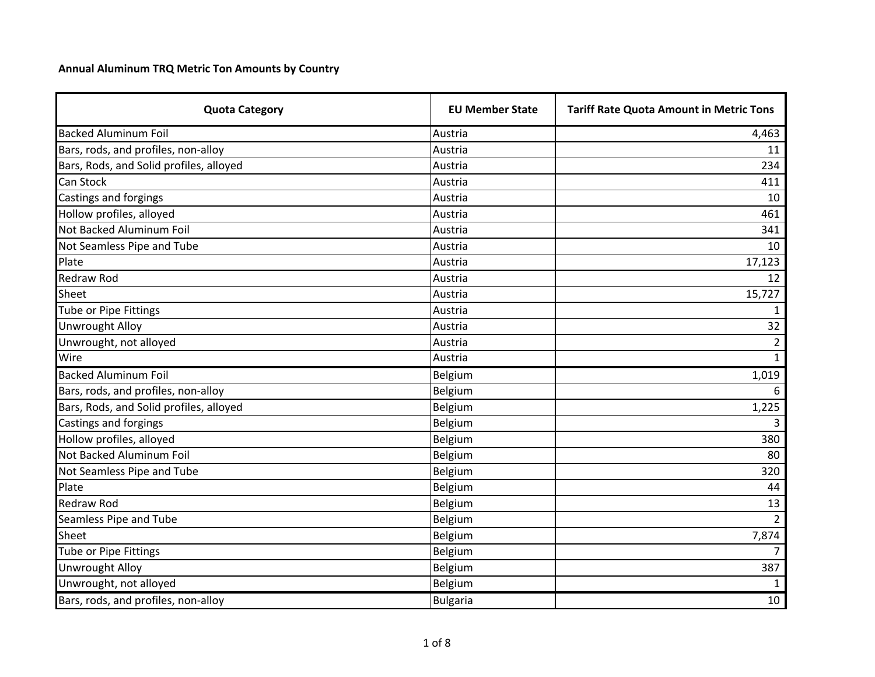## **Annual Aluminum TRQ Metric Ton Amounts by Country**

| <b>Quota Category</b>                   | <b>EU Member State</b> | <b>Tariff Rate Quota Amount in Metric Tons</b> |
|-----------------------------------------|------------------------|------------------------------------------------|
| <b>Backed Aluminum Foil</b>             | Austria                | 4,463                                          |
| Bars, rods, and profiles, non-alloy     | Austria                | 11                                             |
| Bars, Rods, and Solid profiles, alloyed | Austria                | 234                                            |
| Can Stock                               | Austria                | 411                                            |
| <b>Castings and forgings</b>            | Austria                | 10                                             |
| Hollow profiles, alloyed                | Austria                | 461                                            |
| Not Backed Aluminum Foil                | Austria                | 341                                            |
| Not Seamless Pipe and Tube              | Austria                | 10                                             |
| Plate                                   | Austria                | 17,123                                         |
| <b>Redraw Rod</b>                       | Austria                | 12                                             |
| Sheet                                   | Austria                | 15,727                                         |
| Tube or Pipe Fittings                   | Austria                |                                                |
| <b>Unwrought Alloy</b>                  | Austria                | 32                                             |
| Unwrought, not alloyed                  | Austria                | $\overline{2}$                                 |
| Wire                                    | Austria                | $\mathbf{1}$                                   |
| <b>Backed Aluminum Foil</b>             | Belgium                | 1,019                                          |
| Bars, rods, and profiles, non-alloy     | Belgium                | 6                                              |
| Bars, Rods, and Solid profiles, alloyed | Belgium                | 1,225                                          |
| Castings and forgings                   | Belgium                | 3                                              |
| Hollow profiles, alloyed                | Belgium                | 380                                            |
| Not Backed Aluminum Foil                | Belgium                | 80                                             |
| Not Seamless Pipe and Tube              | Belgium                | 320                                            |
| Plate                                   | Belgium                | 44                                             |
| <b>Redraw Rod</b>                       | Belgium                | 13                                             |
| Seamless Pipe and Tube                  | Belgium                | $\overline{2}$                                 |
| Sheet                                   | Belgium                | 7,874                                          |
| Tube or Pipe Fittings                   | Belgium                | $\overline{7}$                                 |
| <b>Unwrought Alloy</b>                  | Belgium                | 387                                            |
| Unwrought, not alloyed                  | Belgium                |                                                |
| Bars, rods, and profiles, non-alloy     | <b>Bulgaria</b>        | 10                                             |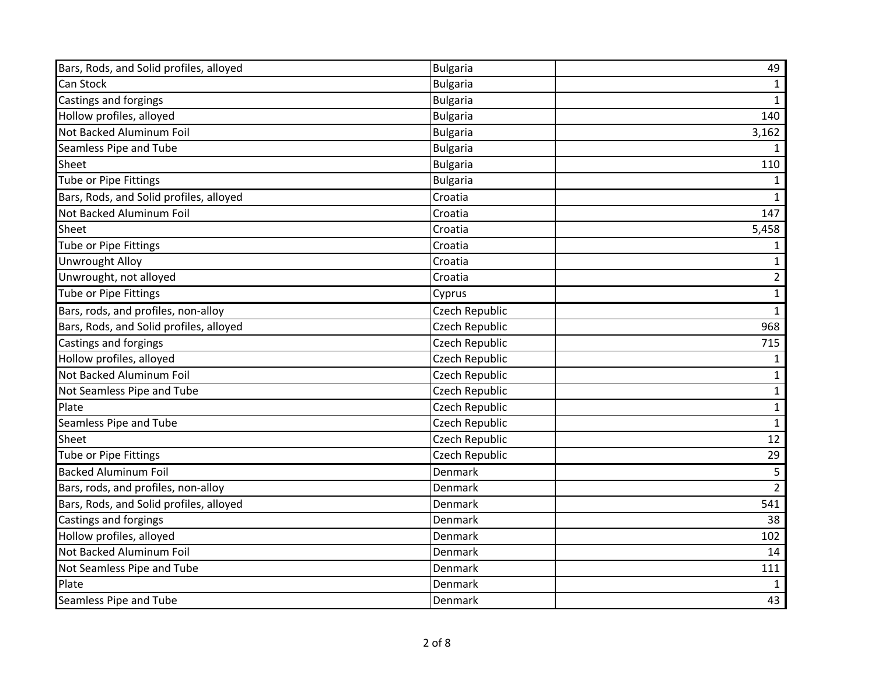| Bars, Rods, and Solid profiles, alloyed | <b>Bulgaria</b> | 49             |
|-----------------------------------------|-----------------|----------------|
| Can Stock                               | <b>Bulgaria</b> | 1              |
| Castings and forgings                   | <b>Bulgaria</b> | $\mathbf{1}$   |
| Hollow profiles, alloyed                | <b>Bulgaria</b> | 140            |
| Not Backed Aluminum Foil                | <b>Bulgaria</b> | 3,162          |
| Seamless Pipe and Tube                  | <b>Bulgaria</b> | $\mathbf{1}$   |
| Sheet                                   | <b>Bulgaria</b> | 110            |
| Tube or Pipe Fittings                   | <b>Bulgaria</b> | $\mathbf{1}$   |
| Bars, Rods, and Solid profiles, alloyed | Croatia         | $\mathbf{1}$   |
| Not Backed Aluminum Foil                | Croatia         | 147            |
| Sheet                                   | Croatia         | 5,458          |
| <b>Tube or Pipe Fittings</b>            | Croatia         | 1              |
| <b>Unwrought Alloy</b>                  | Croatia         | $\mathbf{1}$   |
| Unwrought, not alloyed                  | Croatia         | $\overline{2}$ |
| <b>Tube or Pipe Fittings</b>            | Cyprus          | $\mathbf{1}$   |
| Bars, rods, and profiles, non-alloy     | Czech Republic  | $\mathbf{1}$   |
| Bars, Rods, and Solid profiles, alloyed | Czech Republic  | 968            |
| Castings and forgings                   | Czech Republic  | 715            |
| Hollow profiles, alloyed                | Czech Republic  | $\mathbf{1}$   |
| Not Backed Aluminum Foil                | Czech Republic  | $\mathbf{1}$   |
| Not Seamless Pipe and Tube              | Czech Republic  | $\mathbf{1}$   |
| Plate                                   | Czech Republic  | $\mathbf{1}$   |
| Seamless Pipe and Tube                  | Czech Republic  | $\mathbf{1}$   |
| Sheet                                   | Czech Republic  | 12             |
| Tube or Pipe Fittings                   | Czech Republic  | 29             |
| <b>Backed Aluminum Foil</b>             | Denmark         | $5\phantom{.}$ |
| Bars, rods, and profiles, non-alloy     | Denmark         | $2^{\circ}$    |
| Bars, Rods, and Solid profiles, alloyed | Denmark         | 541            |
| Castings and forgings                   | Denmark         | 38             |
| Hollow profiles, alloyed                | Denmark         | 102            |
| Not Backed Aluminum Foil                | Denmark         | 14             |
| Not Seamless Pipe and Tube              | Denmark         | 111            |
| Plate                                   | Denmark         | $\mathbf{1}$   |
| Seamless Pipe and Tube                  | Denmark         | 43             |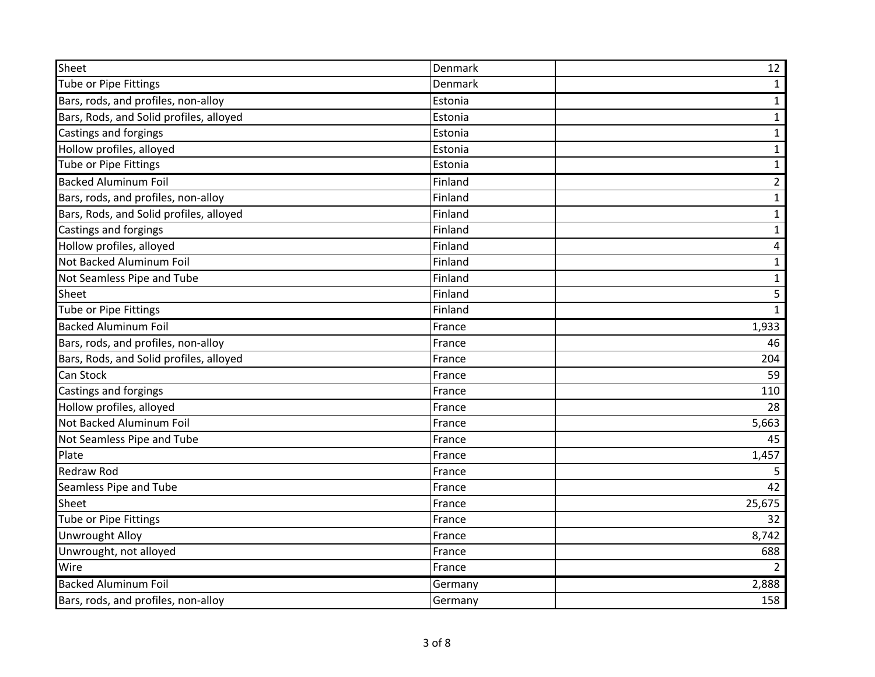| Sheet                                   | Denmark | 12             |
|-----------------------------------------|---------|----------------|
| <b>Tube or Pipe Fittings</b>            | Denmark | $\mathbf{1}$   |
| Bars, rods, and profiles, non-alloy     | Estonia | $\mathbf{1}$   |
| Bars, Rods, and Solid profiles, alloyed | Estonia | $\mathbf{1}$   |
| Castings and forgings                   | Estonia | $\mathbf{1}$   |
| Hollow profiles, alloyed                | Estonia | $\mathbf{1}$   |
| Tube or Pipe Fittings                   | Estonia | $\mathbf{1}$   |
| <b>Backed Aluminum Foil</b>             | Finland | $\overline{2}$ |
| Bars, rods, and profiles, non-alloy     | Finland | $\mathbf{1}$   |
| Bars, Rods, and Solid profiles, alloyed | Finland | $\mathbf{1}$   |
| Castings and forgings                   | Finland | $\mathbf{1}$   |
| Hollow profiles, alloyed                | Finland | $\overline{4}$ |
| Not Backed Aluminum Foil                | Finland | $\mathbf{1}$   |
| Not Seamless Pipe and Tube              | Finland | $\mathbf{1}$   |
| Sheet                                   | Finland | $\overline{5}$ |
| Tube or Pipe Fittings                   | Finland | $\mathbf{1}$   |
| <b>Backed Aluminum Foil</b>             | France  | 1,933          |
| Bars, rods, and profiles, non-alloy     | France  | 46             |
| Bars, Rods, and Solid profiles, alloyed | France  | 204            |
| Can Stock                               | France  | 59             |
| <b>Castings and forgings</b>            | France  | 110            |
| Hollow profiles, alloyed                | France  | 28             |
| Not Backed Aluminum Foil                | France  | 5,663          |
| Not Seamless Pipe and Tube              | France  | 45             |
| Plate                                   | France  | 1,457          |
| <b>Redraw Rod</b>                       | France  | 5              |
| Seamless Pipe and Tube                  | France  | 42             |
| Sheet                                   | France  | 25,675         |
| Tube or Pipe Fittings                   | France  | 32             |
| <b>Unwrought Alloy</b>                  | France  | 8,742          |
| Unwrought, not alloyed                  | France  | 688            |
| Wire                                    | France  |                |
| <b>Backed Aluminum Foil</b>             | Germany | 2,888          |
| Bars, rods, and profiles, non-alloy     | Germany | 158            |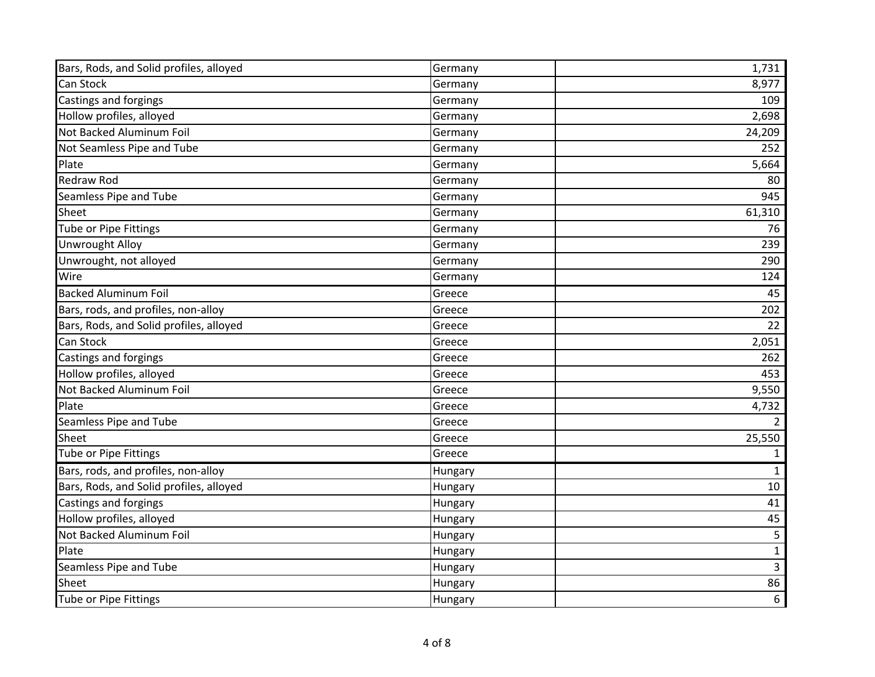| Bars, Rods, and Solid profiles, alloyed | Germany | 1,731          |
|-----------------------------------------|---------|----------------|
| Can Stock                               | Germany | 8,977          |
| Castings and forgings                   | Germany | 109            |
| Hollow profiles, alloyed                | Germany | 2,698          |
| Not Backed Aluminum Foil                | Germany | 24,209         |
| Not Seamless Pipe and Tube              | Germany | 252            |
| Plate                                   | Germany | 5,664          |
| <b>Redraw Rod</b>                       | Germany | 80             |
| Seamless Pipe and Tube                  | Germany | 945            |
| Sheet                                   | Germany | 61,310         |
| <b>Tube or Pipe Fittings</b>            | Germany | 76             |
| <b>Unwrought Alloy</b>                  | Germany | 239            |
| Unwrought, not alloyed                  | Germany | 290            |
| Wire                                    | Germany | 124            |
| <b>Backed Aluminum Foil</b>             | Greece  | 45             |
| Bars, rods, and profiles, non-alloy     | Greece  | 202            |
| Bars, Rods, and Solid profiles, alloyed | Greece  | 22             |
| Can Stock                               | Greece  | 2,051          |
| Castings and forgings                   | Greece  | 262            |
| Hollow profiles, alloyed                | Greece  | 453            |
| Not Backed Aluminum Foil                | Greece  | 9,550          |
| Plate                                   | Greece  | 4,732          |
| Seamless Pipe and Tube                  | Greece  | $\overline{2}$ |
| Sheet                                   | Greece  | 25,550         |
| Tube or Pipe Fittings                   | Greece  | $\mathbf{1}$   |
| Bars, rods, and profiles, non-alloy     | Hungary | $\mathbf{1}$   |
| Bars, Rods, and Solid profiles, alloyed | Hungary | 10             |
| Castings and forgings                   | Hungary | 41             |
| Hollow profiles, alloyed                | Hungary | 45             |
| Not Backed Aluminum Foil                | Hungary | 5 <sub>1</sub> |
| Plate                                   | Hungary | $\mathbf{1}$   |
| Seamless Pipe and Tube                  | Hungary | $\overline{3}$ |
| Sheet                                   | Hungary | 86             |
| Tube or Pipe Fittings                   | Hungary | 6              |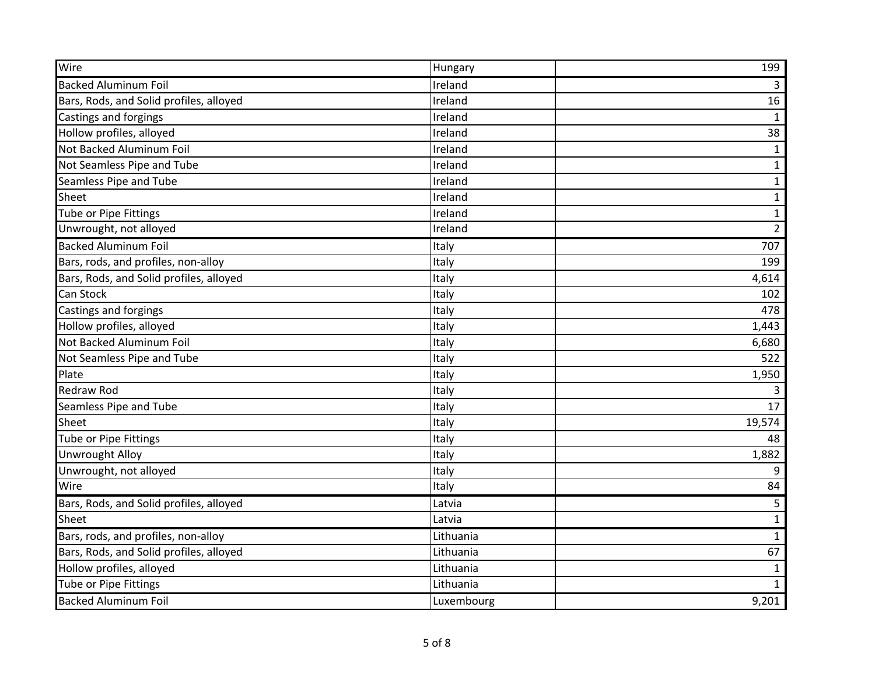| Wire                                    | Hungary    | 199            |
|-----------------------------------------|------------|----------------|
| <b>Backed Aluminum Foil</b>             | Ireland    | $\overline{3}$ |
| Bars, Rods, and Solid profiles, alloyed | Ireland    | 16             |
| Castings and forgings                   | Ireland    | $\mathbf{1}$   |
| Hollow profiles, alloyed                | Ireland    | 38             |
| Not Backed Aluminum Foil                | Ireland    | $\mathbf{1}$   |
| Not Seamless Pipe and Tube              | Ireland    | $\mathbf{1}$   |
| Seamless Pipe and Tube                  | Ireland    | $\mathbf{1}$   |
| Sheet                                   | Ireland    | $\mathbf{1}$   |
| Tube or Pipe Fittings                   | Ireland    | $\mathbf{1}$   |
| Unwrought, not alloyed                  | Ireland    | $\overline{2}$ |
| <b>Backed Aluminum Foil</b>             | Italy      | 707            |
| Bars, rods, and profiles, non-alloy     | Italy      | 199            |
| Bars, Rods, and Solid profiles, alloyed | Italy      | 4,614          |
| Can Stock                               | Italy      | 102            |
| Castings and forgings                   | Italy      | 478            |
| Hollow profiles, alloyed                | Italy      | 1,443          |
| Not Backed Aluminum Foil                | Italy      | 6,680          |
| Not Seamless Pipe and Tube              | Italy      | 522            |
| Plate                                   | Italy      | 1,950          |
| <b>Redraw Rod</b>                       | Italy      | 3              |
| Seamless Pipe and Tube                  | Italy      | 17             |
| Sheet                                   | Italy      | 19,574         |
| Tube or Pipe Fittings                   | Italy      | 48             |
| <b>Unwrought Alloy</b>                  | Italy      | 1,882          |
| Unwrought, not alloyed                  | Italy      | 9              |
| Wire                                    | Italy      | 84             |
| Bars, Rods, and Solid profiles, alloyed | Latvia     | 5              |
| Sheet                                   | Latvia     | $\mathbf{1}$   |
| Bars, rods, and profiles, non-alloy     | Lithuania  | $\mathbf{1}$   |
| Bars, Rods, and Solid profiles, alloyed | Lithuania  | 67             |
| Hollow profiles, alloyed                | Lithuania  | $\mathbf{1}$   |
| Tube or Pipe Fittings                   | Lithuania  | $\mathbf{1}$   |
| <b>Backed Aluminum Foil</b>             | Luxembourg | 9,201          |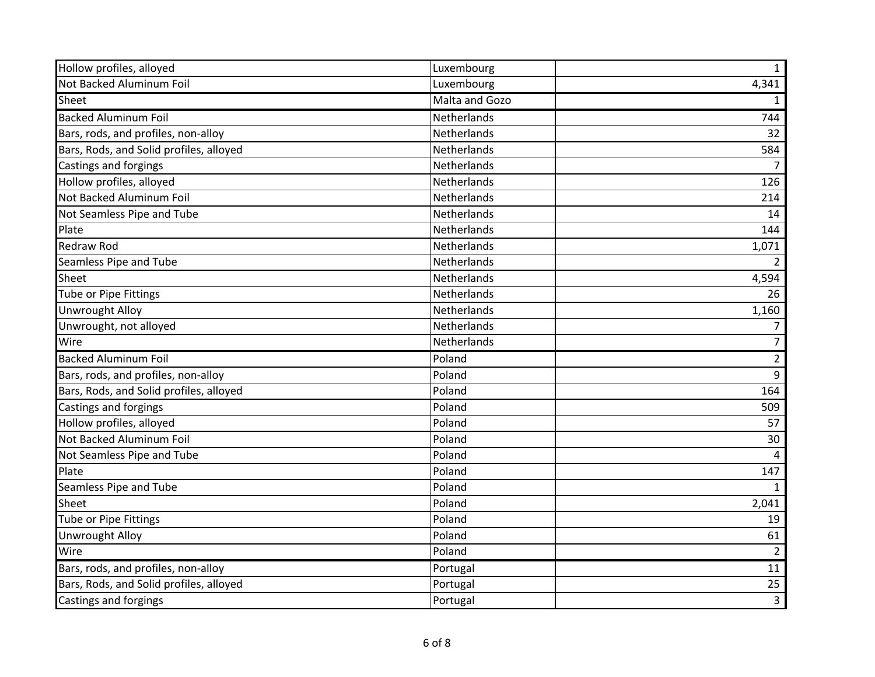| Hollow profiles, alloyed                | Luxembourg           | $\mathbf{1}$         |
|-----------------------------------------|----------------------|----------------------|
| Not Backed Aluminum Foil                | Luxembourg           | 4,341                |
| Sheet                                   | Malta and Gozo       | $\mathbf{1}$         |
| <b>Backed Aluminum Foil</b>             | Netherlands          | 744                  |
| Bars, rods, and profiles, non-alloy     | Netherlands          | 32                   |
| Bars, Rods, and Solid profiles, alloyed | Netherlands          | 584                  |
| Castings and forgings                   | Netherlands          | $\overline{7}$       |
| Hollow profiles, alloyed                | Netherlands          | 126                  |
| Not Backed Aluminum Foil                | Netherlands          | 214                  |
| Not Seamless Pipe and Tube              | Netherlands          | 14                   |
| Plate                                   | Netherlands          | 144                  |
| <b>Redraw Rod</b>                       | Netherlands          | 1,071                |
| Seamless Pipe and Tube                  | Netherlands          | $\overline{2}$       |
| Sheet                                   | Netherlands          | 4,594                |
| Tube or Pipe Fittings                   | Netherlands          | 26                   |
| <b>Unwrought Alloy</b>                  | Netherlands          | 1,160                |
| Unwrought, not alloyed                  | Netherlands          | 7                    |
|                                         |                      |                      |
| Wire                                    | Netherlands          | $\overline{7}$       |
| <b>Backed Aluminum Foil</b>             | Poland               | $\overline{2}$       |
| Bars, rods, and profiles, non-alloy     | Poland               | 9                    |
| Bars, Rods, and Solid profiles, alloyed | Poland               | 164                  |
| Castings and forgings                   | Poland               | 509                  |
| Hollow profiles, alloyed                | Poland               | 57                   |
| Not Backed Aluminum Foil                | Poland               | 30                   |
| Not Seamless Pipe and Tube              | Poland               | 4                    |
| Plate                                   | Poland               | 147                  |
| Seamless Pipe and Tube                  | Poland               | $\mathbf{1}$         |
| Sheet                                   | Poland               | 2,041                |
| Tube or Pipe Fittings                   | Poland               | 19                   |
| <b>Unwrought Alloy</b>                  | Poland               | 61                   |
| Wire                                    | Poland               | $\overline{2}$       |
| Bars, rods, and profiles, non-alloy     | Portugal             | 11                   |
| Bars, Rods, and Solid profiles, alloyed | Portugal<br>Portugal | 25<br>$\overline{3}$ |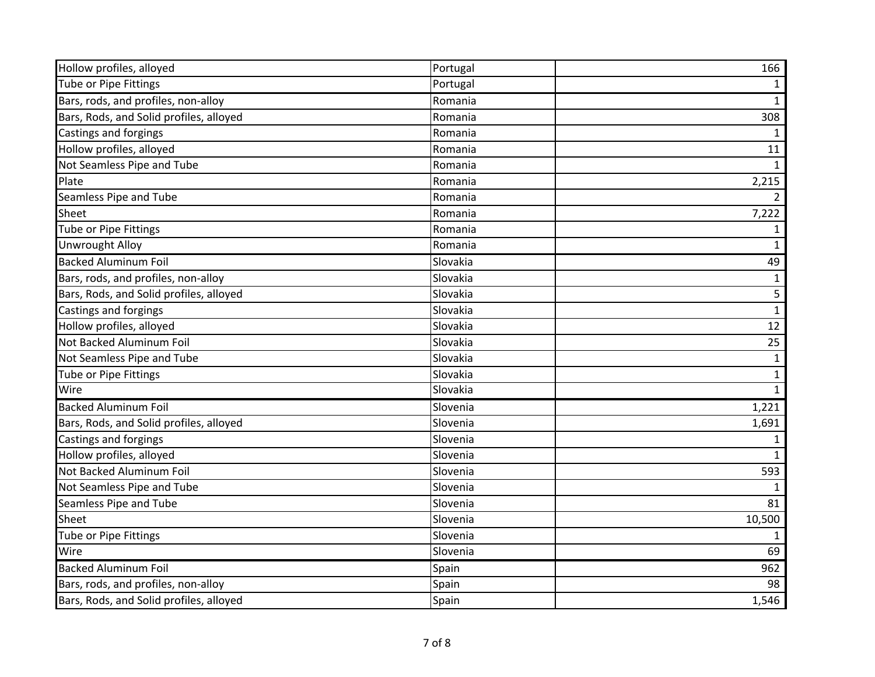| Hollow profiles, alloyed                | Portugal | 166            |
|-----------------------------------------|----------|----------------|
| Tube or Pipe Fittings                   | Portugal | 1              |
| Bars, rods, and profiles, non-alloy     | Romania  | $\mathbf{1}$   |
| Bars, Rods, and Solid profiles, alloyed | Romania  | 308            |
| Castings and forgings                   | Romania  | 1              |
| Hollow profiles, alloyed                | Romania  | 11             |
| Not Seamless Pipe and Tube              | Romania  | $\mathbf{1}$   |
| Plate                                   | Romania  | 2,215          |
| Seamless Pipe and Tube                  | Romania  | $\overline{2}$ |
| Sheet                                   | Romania  | 7,222          |
| Tube or Pipe Fittings                   | Romania  | 1              |
| <b>Unwrought Alloy</b>                  | Romania  | $\mathbf{1}$   |
| <b>Backed Aluminum Foil</b>             | Slovakia | 49             |
| Bars, rods, and profiles, non-alloy     | Slovakia | $\mathbf{1}$   |
| Bars, Rods, and Solid profiles, alloyed | Slovakia | 5              |
| Castings and forgings                   | Slovakia | $\mathbf 1$    |
| Hollow profiles, alloyed                | Slovakia | 12             |
| Not Backed Aluminum Foil                | Slovakia | 25             |
| Not Seamless Pipe and Tube              | Slovakia | $\mathbf{1}$   |
| Tube or Pipe Fittings                   | Slovakia | $\mathbf{1}$   |
| Wire                                    | Slovakia | $\mathbf{1}$   |
| <b>Backed Aluminum Foil</b>             | Slovenia | 1,221          |
| Bars, Rods, and Solid profiles, alloyed | Slovenia | 1,691          |
| Castings and forgings                   | Slovenia | 1              |
| Hollow profiles, alloyed                | Slovenia | $\mathbf{1}$   |
| Not Backed Aluminum Foil                | Slovenia | 593            |
| Not Seamless Pipe and Tube              | Slovenia | 1              |
| Seamless Pipe and Tube                  | Slovenia | 81             |
| Sheet                                   | Slovenia | 10,500         |
| <b>Tube or Pipe Fittings</b>            | Slovenia | 1              |
| Wire                                    | Slovenia | 69             |
| <b>Backed Aluminum Foil</b>             | Spain    | 962            |
| Bars, rods, and profiles, non-alloy     | Spain    | 98             |
| Bars, Rods, and Solid profiles, alloyed | Spain    | 1,546          |